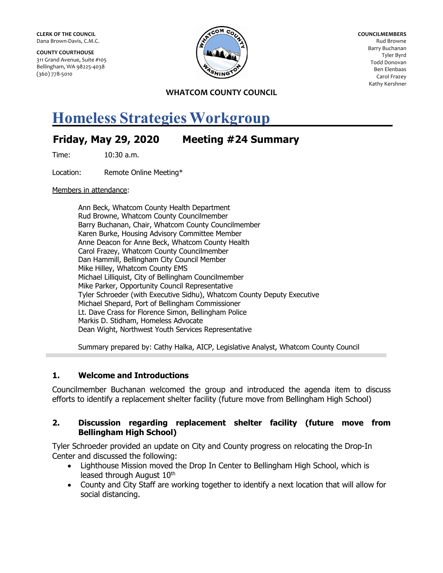**CLERK OF THE COUNCIL** Dana Brown-Davis, C.M.C.

**COUNTY COURTHOUSE** 311 Grand Avenue, Suite #105 Bellingham, WA 98225-4038 (360) 778-5010



**COUNCILMEMBERS** Rud Browne Barry Buchanan Tyler Byrd Todd Donovan Ben Elenbaas Carol Frazey Kathy Kershner

**WHATCOM COUNTY COUNCIL**

## **Homeless Strategies Workgroup**

## **Friday, May 29, 2020 Meeting #24 Summary**

Time: 10:30 a.m.

Location: Remote Online Meeting\*

Members in attendance:

Ann Beck, Whatcom County Health Department Rud Browne, Whatcom County Councilmember Barry Buchanan, Chair, Whatcom County Councilmember Karen Burke, Housing Advisory Committee Member Anne Deacon for Anne Beck, Whatcom County Health Carol Frazey, Whatcom County Councilmember Dan Hammill, Bellingham City Council Member Mike Hilley, Whatcom County EMS Michael Lilliquist, City of Bellingham Councilmember Mike Parker, Opportunity Council Representative Tyler Schroeder (with Executive Sidhu), Whatcom County Deputy Executive Michael Shepard, Port of Bellingham Commissioner Lt. Dave Crass for Florence Simon, Bellingham Police Markis D. Stidham, Homeless Advocate Dean Wight, Northwest Youth Services Representative

Summary prepared by: Cathy Halka, AICP, Legislative Analyst, Whatcom County Council

## **1. Welcome and Introductions**

Councilmember Buchanan welcomed the group and introduced the agenda item to discuss efforts to identify a replacement shelter facility (future move from Bellingham High School)

## **2. Discussion regarding replacement shelter facility (future move from Bellingham High School)**

Tyler Schroeder provided an update on City and County progress on relocating the Drop-In Center and discussed the following:

- Lighthouse Mission moved the Drop In Center to Bellingham High School, which is leased through August 10<sup>th</sup>
- County and City Staff are working together to identify a next location that will allow for social distancing.